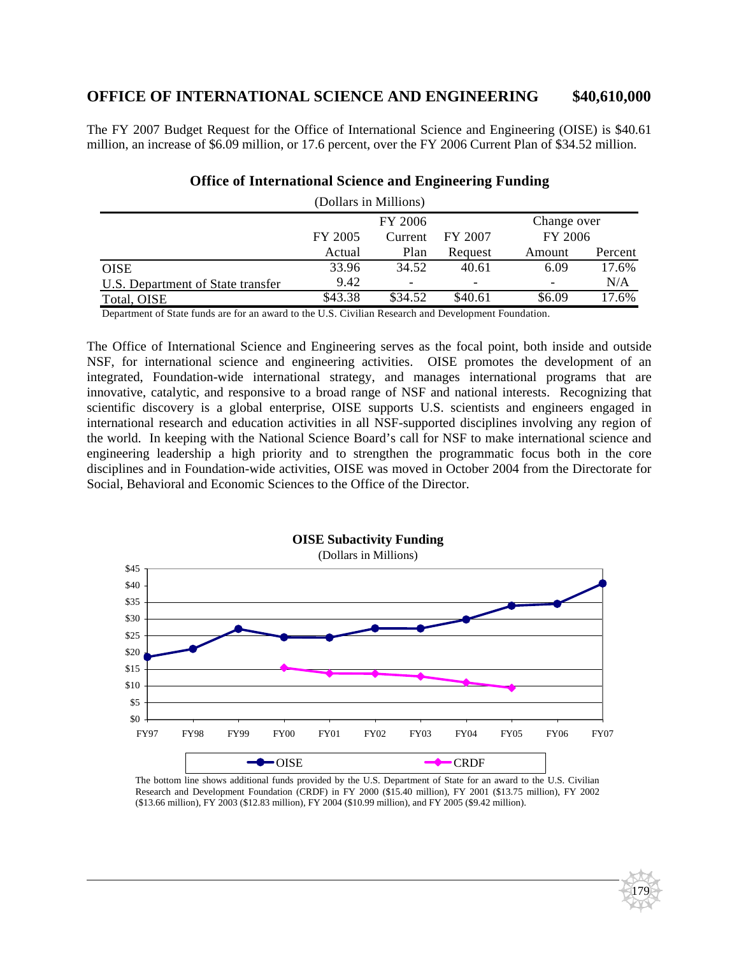# **OFFICE OF INTERNATIONAL SCIENCE AND ENGINEERING \$40,610,000**

The FY 2007 Budget Request for the Office of International Science and Engineering (OISE) is \$40.61 million, an increase of \$6.09 million, or 17.6 percent, over the FY 2006 Current Plan of \$34.52 million.

| (Dollars in Millions)             |                               |                              |         |             |         |  |
|-----------------------------------|-------------------------------|------------------------------|---------|-------------|---------|--|
|                                   | FY 2006                       |                              |         | Change over |         |  |
|                                   | FY 2005<br>FY 2007<br>Current |                              |         | FY 2006     |         |  |
|                                   | Actual                        | Plan                         | Request | Amount      | Percent |  |
| <b>OISE</b>                       | 33.96                         | 34.52                        | 40.61   | 6.09        | 17.6%   |  |
| U.S. Department of State transfer | 9.42                          | $\qquad \qquad \blacksquare$ | -       |             | N/A     |  |
| Total, OISE                       | \$43.38                       | \$34.52                      | \$40.61 | \$6.09      | 17.6%   |  |

### **Office of International Science and Engineering Funding**

Department of State funds are for an award to the U.S. Civilian Research and Development Foundation.

The Office of International Science and Engineering serves as the focal point, both inside and outside NSF, for international science and engineering activities. OISE promotes the development of an integrated, Foundation-wide international strategy, and manages international programs that are innovative, catalytic, and responsive to a broad range of NSF and national interests. Recognizing that scientific discovery is a global enterprise, OISE supports U.S. scientists and engineers engaged in international research and education activities in all NSF-supported disciplines involving any region of the world. In keeping with the National Science Board's call for NSF to make international science and engineering leadership a high priority and to strengthen the programmatic focus both in the core disciplines and in Foundation-wide activities, OISE was moved in October 2004 from the Directorate for Social, Behavioral and Economic Sciences to the Office of the Director.



The bottom line shows additional funds provided by the U.S. Department of State for an award to the U.S. Civilian Research and Development Foundation (CRDF) in FY 2000 (\$15.40 million), FY 2001 (\$13.75 million), FY 2002 (\$13.66 million), FY 2003 (\$12.83 million), FY 2004 (\$10.99 million), and FY 2005 (\$9.42 million).

179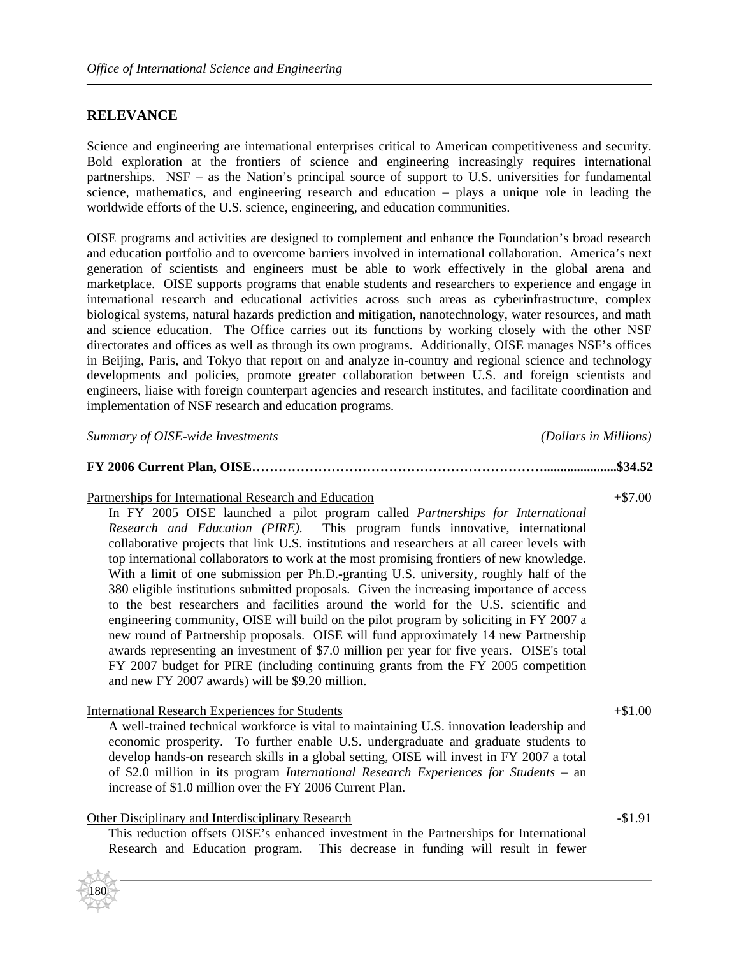### **RELEVANCE**

Science and engineering are international enterprises critical to American competitiveness and security. Bold exploration at the frontiers of science and engineering increasingly requires international partnerships. NSF – as the Nation's principal source of support to U.S. universities for fundamental science, mathematics, and engineering research and education – plays a unique role in leading the worldwide efforts of the U.S. science, engineering, and education communities.

OISE programs and activities are designed to complement and enhance the Foundation's broad research and education portfolio and to overcome barriers involved in international collaboration. America's next generation of scientists and engineers must be able to work effectively in the global arena and marketplace. OISE supports programs that enable students and researchers to experience and engage in international research and educational activities across such areas as cyberinfrastructure, complex biological systems, natural hazards prediction and mitigation, nanotechnology, water resources, and math and science education. The Office carries out its functions by working closely with the other NSF directorates and offices as well as through its own programs. Additionally, OISE manages NSF's offices in Beijing, Paris, and Tokyo that report on and analyze in-country and regional science and technology developments and policies, promote greater collaboration between U.S. and foreign scientists and engineers, liaise with foreign counterpart agencies and research institutes, and facilitate coordination and implementation of NSF research and education programs.

*Summary of OISE-wide Investments (Dollars in Millions)* 

#### **FY 2006 Current Plan, OISE…………………………………………………………......................\$34.52**

Partnerships for International Research and Education  $+\$7.00$ 

In FY 2005 OISE launched a pilot program called *Partnerships for International Research and Education (PIRE).* This program funds innovative, international collaborative projects that link U.S. institutions and researchers at all career levels with top international collaborators to work at the most promising frontiers of new knowledge. With a limit of one submission per Ph.D.-granting U.S. university, roughly half of the 380 eligible institutions submitted proposals. Given the increasing importance of access to the best researchers and facilities around the world for the U.S. scientific and engineering community, OISE will build on the pilot program by soliciting in FY 2007 a new round of Partnership proposals. OISE will fund approximately 14 new Partnership awards representing an investment of \$7.0 million per year for five years. OISE's total FY 2007 budget for PIRE (including continuing grants from the FY 2005 competition and new FY 2007 awards) will be \$9.20 million.

#### International Research Experiences for Students  $+$ \$1.00

A well-trained technical workforce is vital to maintaining U.S. innovation leadership and economic prosperity. To further enable U.S. undergraduate and graduate students to develop hands-on research skills in a global setting, OISE will invest in FY 2007 a total of \$2.0 million in its program *International Research Experiences for Students* – an increase of \$1.0 million over the FY 2006 Current Plan.

#### Other Disciplinary and Interdisciplinary Research  $-$  51.91

180

This reduction offsets OISE's enhanced investment in the Partnerships for International Research and Education program. This decrease in funding will result in fewer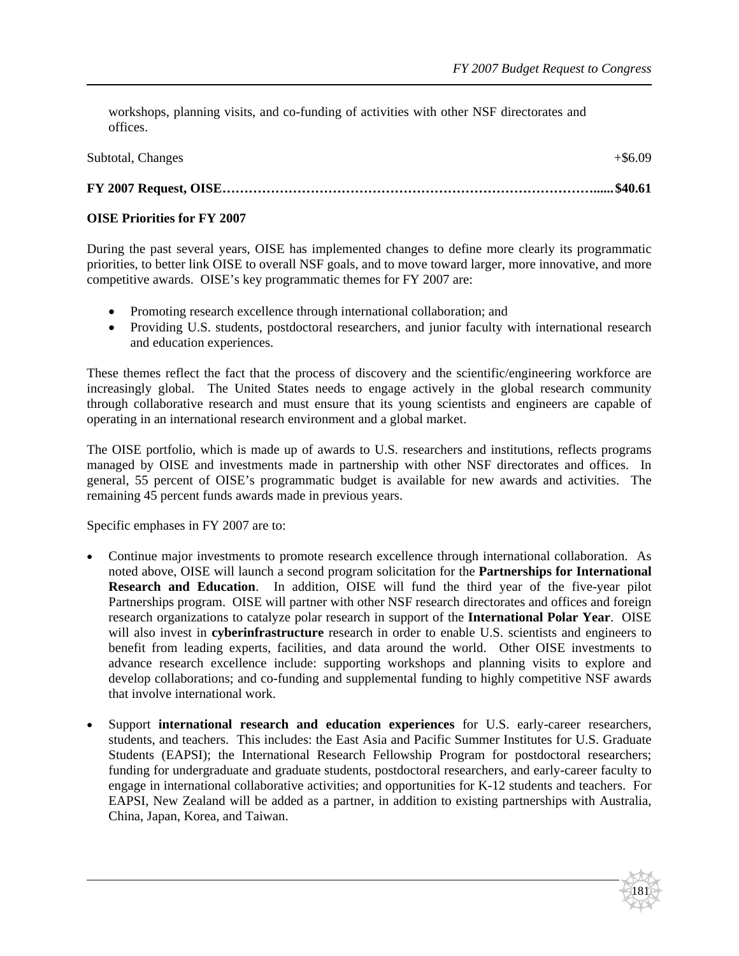workshops, planning visits, and co-funding of activities with other NSF directorates and offices.

| Subtotal, Changes | $+$ \$6.09 |
|-------------------|------------|
|                   |            |

## **FY 2007 Request, OISE…………………………………………………………………………...... \$40.61**

### **OISE Priorities for FY 2007**

During the past several years, OISE has implemented changes to define more clearly its programmatic priorities, to better link OISE to overall NSF goals, and to move toward larger, more innovative, and more competitive awards. OISE's key programmatic themes for FY 2007 are:

- Promoting research excellence through international collaboration; and
- Providing U.S. students, postdoctoral researchers, and junior faculty with international research and education experiences.

These themes reflect the fact that the process of discovery and the scientific/engineering workforce are increasingly global. The United States needs to engage actively in the global research community through collaborative research and must ensure that its young scientists and engineers are capable of operating in an international research environment and a global market.

The OISE portfolio, which is made up of awards to U.S. researchers and institutions, reflects programs managed by OISE and investments made in partnership with other NSF directorates and offices. In general, 55 percent of OISE's programmatic budget is available for new awards and activities. The remaining 45 percent funds awards made in previous years.

Specific emphases in FY 2007 are to:

- Continue major investments to promote research excellence through international collaboration. As noted above, OISE will launch a second program solicitation for the **Partnerships for International Research and Education**. In addition, OISE will fund the third year of the five-year pilot Partnerships program. OISE will partner with other NSF research directorates and offices and foreign research organizations to catalyze polar research in support of the **International Polar Year**. OISE will also invest in **cyberinfrastructure** research in order to enable U.S. scientists and engineers to benefit from leading experts, facilities, and data around the world. Other OISE investments to advance research excellence include: supporting workshops and planning visits to explore and develop collaborations; and co-funding and supplemental funding to highly competitive NSF awards that involve international work.
- Support **international research and education experiences** for U.S. early-career researchers, students, and teachers. This includes: the East Asia and Pacific Summer Institutes for U.S. Graduate Students (EAPSI); the International Research Fellowship Program for postdoctoral researchers; funding for undergraduate and graduate students, postdoctoral researchers, and early-career faculty to engage in international collaborative activities; and opportunities for K-12 students and teachers. For EAPSI, New Zealand will be added as a partner, in addition to existing partnerships with Australia, China, Japan, Korea, and Taiwan.

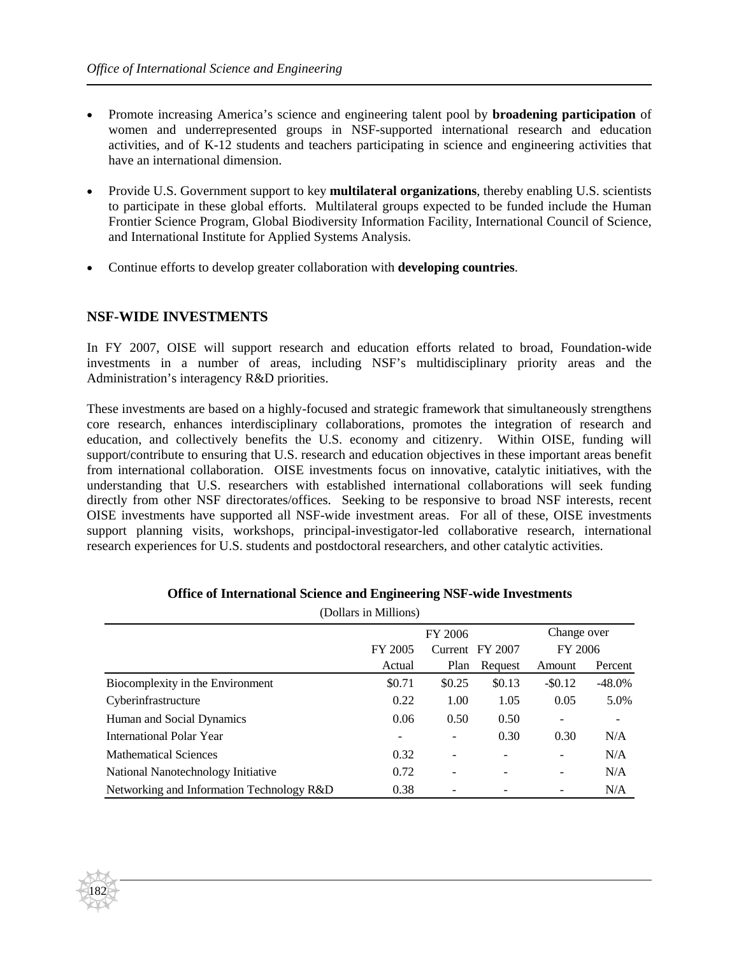- Promote increasing America's science and engineering talent pool by **broadening participation** of women and underrepresented groups in NSF-supported international research and education activities, and of K-12 students and teachers participating in science and engineering activities that have an international dimension.
- Provide U.S. Government support to key **multilateral organizations**, thereby enabling U.S. scientists to participate in these global efforts. Multilateral groups expected to be funded include the Human Frontier Science Program, Global Biodiversity Information Facility, International Council of Science, and International Institute for Applied Systems Analysis.
- Continue efforts to develop greater collaboration with **developing countries**.

#### **NSF-WIDE INVESTMENTS**

182

In FY 2007, OISE will support research and education efforts related to broad, Foundation-wide investments in a number of areas, including NSF's multidisciplinary priority areas and the Administration's interagency R&D priorities.

These investments are based on a highly-focused and strategic framework that simultaneously strengthens core research, enhances interdisciplinary collaborations, promotes the integration of research and education, and collectively benefits the U.S. economy and citizenry. Within OISE, funding will support/contribute to ensuring that U.S. research and education objectives in these important areas benefit from international collaboration. OISE investments focus on innovative, catalytic initiatives, with the understanding that U.S. researchers with established international collaborations will seek funding directly from other NSF directorates/offices. Seeking to be responsive to broad NSF interests, recent OISE investments have supported all NSF-wide investment areas. For all of these, OISE investments support planning visits, workshops, principal-investigator-led collaborative research, international research experiences for U.S. students and postdoctoral researchers, and other catalytic activities.

|                                           | FY 2006 |                          |                 | Change over |           |
|-------------------------------------------|---------|--------------------------|-----------------|-------------|-----------|
|                                           | FY 2005 |                          | Current FY 2007 | FY 2006     |           |
|                                           | Actual  | Plan                     | Request         | Amount      | Percent   |
| Biocomplexity in the Environment          | \$0.71  | \$0.25                   | \$0.13          | $-$ \$0.12  | $-48.0\%$ |
| Cyberinfrastructure                       | 0.22    | 1.00                     | 1.05            | 0.05        | 5.0%      |
| Human and Social Dynamics                 | 0.06    | 0.50                     | 0.50            |             |           |
| International Polar Year                  |         |                          | 0.30            | 0.30        | N/A       |
| <b>Mathematical Sciences</b>              | 0.32    | $\overline{\phantom{a}}$ |                 |             | N/A       |
| National Nanotechnology Initiative        | 0.72    |                          |                 |             | N/A       |
| Networking and Information Technology R&D | 0.38    |                          |                 |             | N/A       |

### **Office of International Science and Engineering NSF-wide Investments** (Dollars in Millions)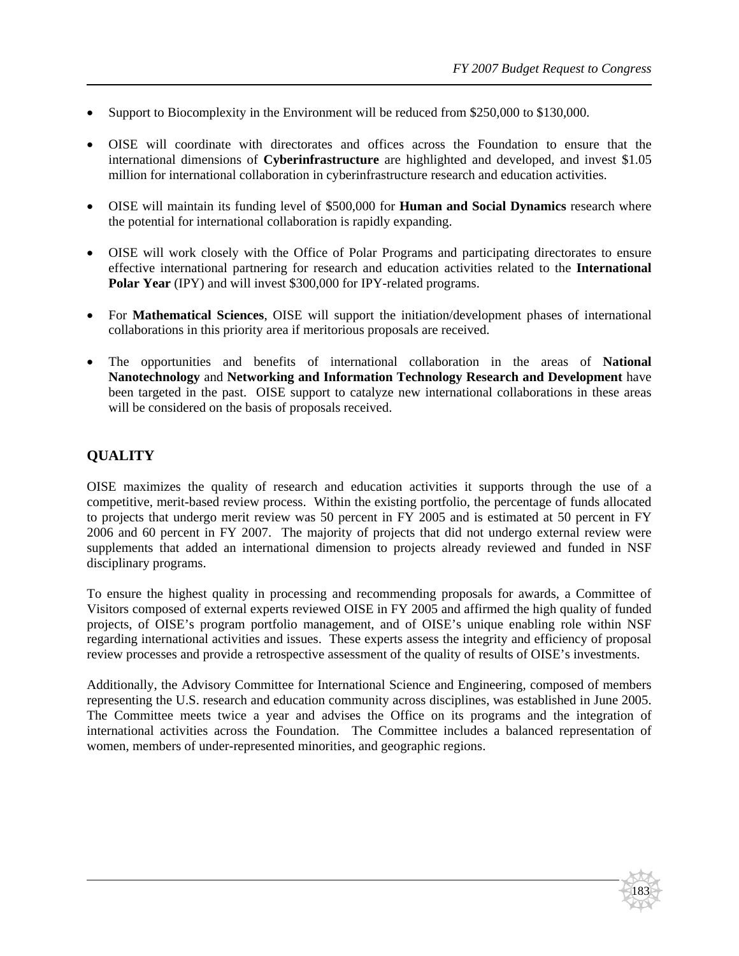183

- Support to Biocomplexity in the Environment will be reduced from \$250,000 to \$130,000.
- OISE will coordinate with directorates and offices across the Foundation to ensure that the international dimensions of **Cyberinfrastructure** are highlighted and developed, and invest \$1.05 million for international collaboration in cyberinfrastructure research and education activities.
- OISE will maintain its funding level of \$500,000 for **Human and Social Dynamics** research where the potential for international collaboration is rapidly expanding.
- OISE will work closely with the Office of Polar Programs and participating directorates to ensure effective international partnering for research and education activities related to the **International Polar Year** (IPY) and will invest \$300,000 for IPY-related programs.
- For **Mathematical Sciences**, OISE will support the initiation/development phases of international collaborations in this priority area if meritorious proposals are received.
- The opportunities and benefits of international collaboration in the areas of **National Nanotechnology** and **Networking and Information Technology Research and Development** have been targeted in the past. OISE support to catalyze new international collaborations in these areas will be considered on the basis of proposals received.

# **QUALITY**

OISE maximizes the quality of research and education activities it supports through the use of a competitive, merit-based review process. Within the existing portfolio, the percentage of funds allocated to projects that undergo merit review was 50 percent in FY 2005 and is estimated at 50 percent in FY 2006 and 60 percent in FY 2007. The majority of projects that did not undergo external review were supplements that added an international dimension to projects already reviewed and funded in NSF disciplinary programs.

To ensure the highest quality in processing and recommending proposals for awards, a Committee of Visitors composed of external experts reviewed OISE in FY 2005 and affirmed the high quality of funded projects, of OISE's program portfolio management, and of OISE's unique enabling role within NSF regarding international activities and issues. These experts assess the integrity and efficiency of proposal review processes and provide a retrospective assessment of the quality of results of OISE's investments.

Additionally, the Advisory Committee for International Science and Engineering, composed of members representing the U.S. research and education community across disciplines, was established in June 2005. The Committee meets twice a year and advises the Office on its programs and the integration of international activities across the Foundation. The Committee includes a balanced representation of women, members of under-represented minorities, and geographic regions.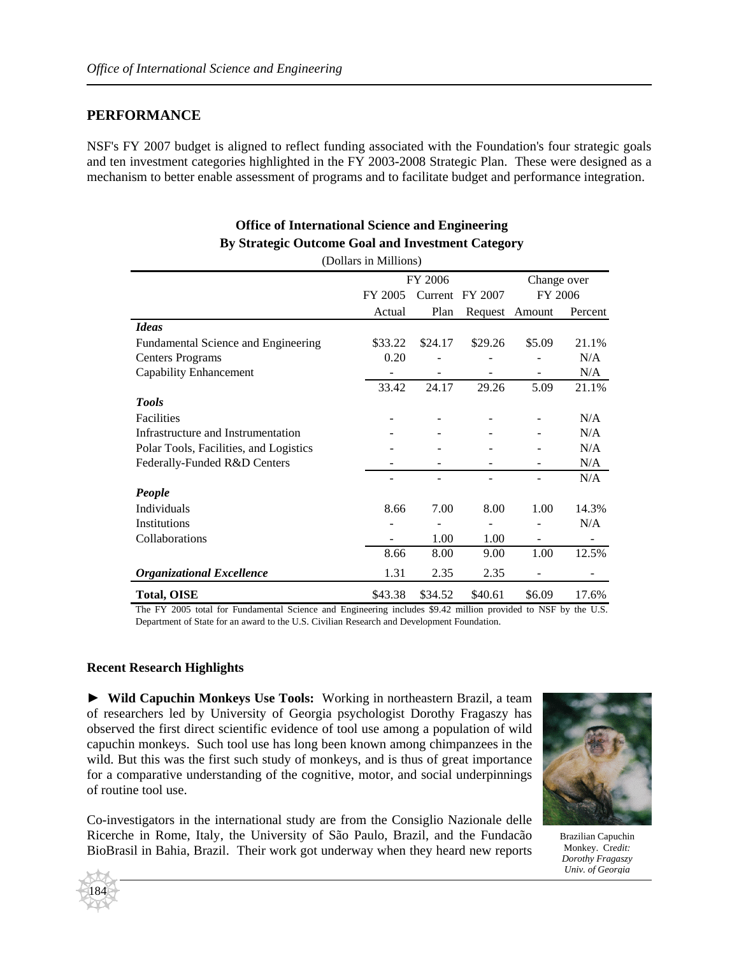# **PERFORMANCE**

NSF's FY 2007 budget is aligned to reflect funding associated with the Foundation's four strategic goals and ten investment categories highlighted in the FY 2003-2008 Strategic Plan. These were designed as a mechanism to better enable assessment of programs and to facilitate budget and performance integration.

### **Office of International Science and Engineering By Strategic Outcome Goal and Investment Category**

|                                        | (Dollars in Millions) |                    |         |                |         |
|----------------------------------------|-----------------------|--------------------|---------|----------------|---------|
|                                        | FY 2006               |                    |         | Change over    |         |
|                                        | FY 2005               | Current<br>FY 2007 |         | FY 2006        |         |
|                                        | Actual                | Plan               |         | Request Amount | Percent |
| <b>Ideas</b>                           |                       |                    |         |                |         |
| Fundamental Science and Engineering    | \$33.22               | \$24.17            | \$29.26 | \$5.09         | 21.1%   |
| <b>Centers Programs</b>                | 0.20                  |                    |         |                | N/A     |
| Capability Enhancement                 |                       |                    |         |                | N/A     |
|                                        | 33.42                 | 24.17              | 29.26   | 5.09           | 21.1%   |
| <b>Tools</b>                           |                       |                    |         |                |         |
| Facilities                             |                       |                    |         |                | N/A     |
| Infrastructure and Instrumentation     |                       |                    |         |                | N/A     |
| Polar Tools, Facilities, and Logistics |                       |                    |         |                | N/A     |
| Federally-Funded R&D Centers           |                       |                    |         |                | N/A     |
|                                        |                       |                    |         |                | N/A     |
| People                                 |                       |                    |         |                |         |
| Individuals                            | 8.66                  | 7.00               | 8.00    | 1.00           | 14.3%   |
| Institutions                           |                       |                    |         |                | N/A     |
| Collaborations                         |                       | 1.00               | 1.00    | ۰              |         |
|                                        | 8.66                  | 8.00               | 9.00    | 1.00           | 12.5%   |
| <b>Organizational Excellence</b>       | 1.31                  | 2.35               | 2.35    |                |         |
| <b>Total, OISE</b>                     | \$43.38               | \$34.52            | \$40.61 | \$6.09         | 17.6%   |

The FY 2005 total for Fundamental Science and Engineering includes \$9.42 million provided to NSF by the U.S. Department of State for an award to the U.S. Civilian Research and Development Foundation.

### **Recent Research Highlights**

► **Wild Capuchin Monkeys Use Tools:** Working in northeastern Brazil, a team of researchers led by University of Georgia psychologist Dorothy Fragaszy has observed the first direct scientific evidence of tool use among a population of wild capuchin monkeys. Such tool use has long been known among chimpanzees in the wild. But this was the first such study of monkeys, and is thus of great importance for a comparative understanding of the cognitive, motor, and social underpinnings of routine tool use.

Co-investigators in the international study are from the Consiglio Nazionale delle Ricerche in Rome, Italy, the University of São Paulo, Brazil, and the Fundacão BioBrasil in Bahia, Brazil. Their work got underway when they heard new reports



Brazilian Capuchin Monkey. Cr*edit: Dorothy Fragaszy Univ. of Georgia*

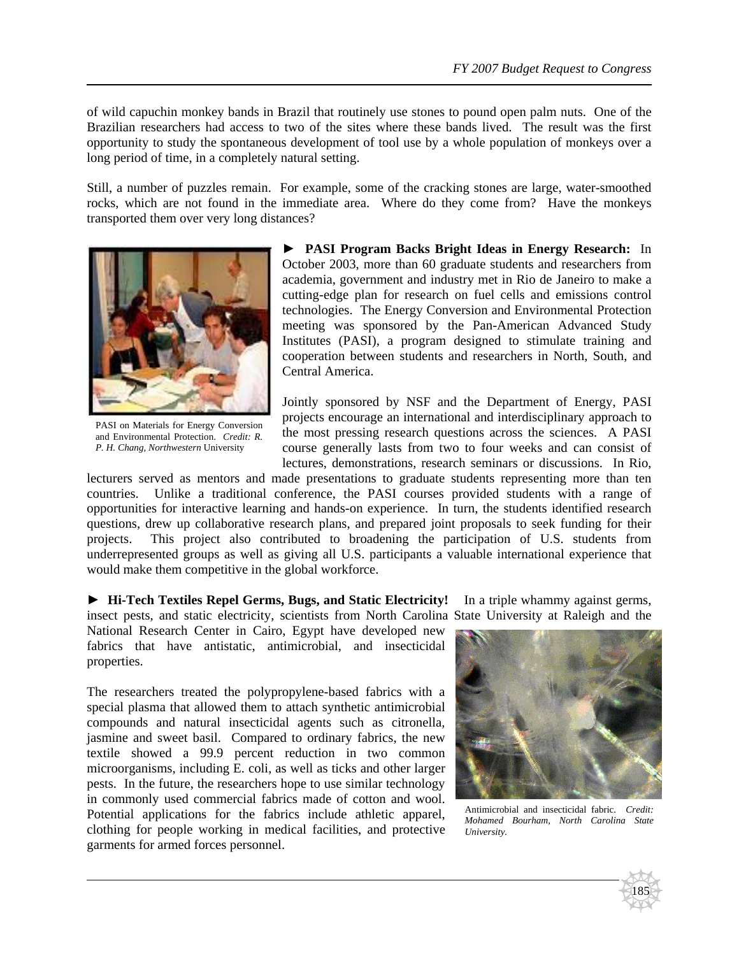of wild capuchin monkey bands in Brazil that routinely use stones to pound open palm nuts. One of the Brazilian researchers had access to two of the sites where these bands lived. The result was the first opportunity to study the spontaneous development of tool use by a whole population of monkeys over a long period of time, in a completely natural setting.

Still, a number of puzzles remain. For example, some of the cracking stones are large, water-smoothed rocks, which are not found in the immediate area. Where do they come from? Have the monkeys transported them over very long distances?



PASI on Materials for Energy Conversion and Environmental Protection. *Credit: R. P. H. Chang, Northwestern* University

► **PASI Program Backs Bright Ideas in Energy Research:** In October 2003, more than 60 graduate students and researchers from academia, government and industry met in Rio de Janeiro to make a cutting-edge plan for research on fuel cells and emissions control technologies. The Energy Conversion and Environmental Protection meeting was sponsored by the Pan-American Advanced Study Institutes (PASI), a program designed to stimulate training and cooperation between students and researchers in North, South, and Central America.

Jointly sponsored by NSF and the Department of Energy, PASI projects encourage an international and interdisciplinary approach to the most pressing research questions across the sciences. A PASI course generally lasts from two to four weeks and can consist of lectures, demonstrations, research seminars or discussions. In Rio,

lecturers served as mentors and made presentations to graduate students representing more than ten countries. Unlike a traditional conference, the PASI courses provided students with a range of opportunities for interactive learning and hands-on experience. In turn, the students identified research questions, drew up collaborative research plans, and prepared joint proposals to seek funding for their projects. This project also contributed to broadening the participation of U.S. students from underrepresented groups as well as giving all U.S. participants a valuable international experience that would make them competitive in the global workforce.

► **Hi-Tech Textiles Repel Germs, Bugs, and Static Electricity!** In a triple whammy against germs, insect pests, and static electricity, scientists from North Carolina State University at Raleigh and the

National Research Center in Cairo, Egypt have developed new fabrics that have antistatic, antimicrobial, and insecticidal properties.

The researchers treated the polypropylene-based fabrics with a special plasma that allowed them to attach synthetic antimicrobial compounds and natural insecticidal agents such as citronella, jasmine and sweet basil. Compared to ordinary fabrics, the new textile showed a 99.9 percent reduction in two common microorganisms, including E. coli, as well as ticks and other larger pests. In the future, the researchers hope to use similar technology in commonly used commercial fabrics made of cotton and wool. Potential applications for the fabrics include athletic apparel, clothing for people working in medical facilities, and protective garments for armed forces personnel.



Antimicrobial and insecticidal fabric. *Credit: Mohamed Bourham, North Carolina State University.*

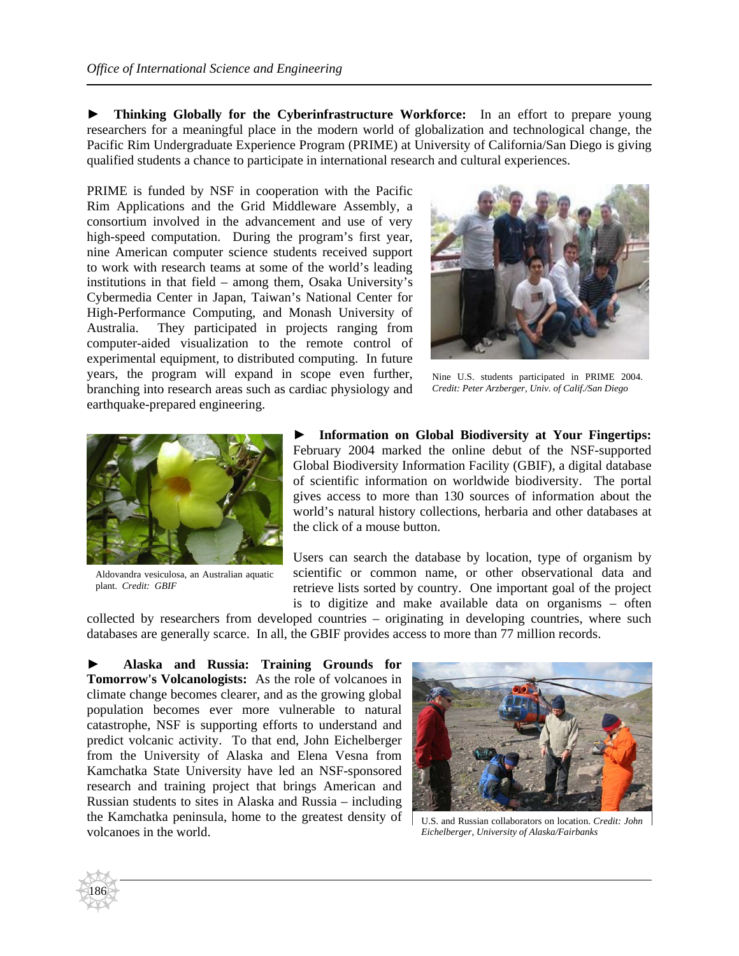**► Thinking Globally for the Cyberinfrastructure Workforce:** In an effort to prepare young researchers for a meaningful place in the modern world of globalization and technological change, the Pacific Rim Undergraduate Experience Program (PRIME) at University of California/San Diego is giving qualified students a chance to participate in international research and cultural experiences.

PRIME is funded by NSF in cooperation with the Pacific Rim Applications and the Grid Middleware Assembly, a consortium involved in the advancement and use of very high-speed computation. During the program's first year, nine American computer science students received support to work with research teams at some of the world's leading institutions in that field – among them, Osaka University's Cybermedia Center in Japan, Taiwan's National Center for High-Performance Computing, and Monash University of Australia. They participated in projects ranging from computer-aided visualization to the remote control of experimental equipment, to distributed computing. In future years, the program will expand in scope even further, branching into research areas such as cardiac physiology and earthquake-prepared engineering.



Nine U.S. students participated in PRIME 2004. *Credit: Peter Arzberger, Univ. of Calif./San Diego*



Aldovandra vesiculosa, an Australian aquatic plant. *Credit: GBIF*

186

**► Information on Global Biodiversity at Your Fingertips:**  February 2004 marked the online debut of the NSF-supported Global Biodiversity Information Facility (GBIF), a digital database of scientific information on worldwide biodiversity. The portal gives access to more than 130 sources of information about the world's natural history collections, herbaria and other databases at the click of a mouse button.

Users can search the database by location, type of organism by scientific or common name, or other observational data and retrieve lists sorted by country. One important goal of the project is to digitize and make available data on organisms – often

collected by researchers from developed countries – originating in developing countries, where such databases are generally scarce. In all, the GBIF provides access to more than 77 million records.

**► Alaska and Russia: Training Grounds for Tomorrow's Volcanologists:** As the role of volcanoes in climate change becomes clearer, and as the growing global population becomes ever more vulnerable to natural catastrophe, NSF is supporting efforts to understand and predict volcanic activity. To that end, John Eichelberger from the University of Alaska and Elena Vesna from Kamchatka State University have led an NSF-sponsored research and training project that brings American and Russian students to sites in Alaska and Russia – including the Kamchatka peninsula, home to the greatest density of volcanoes in the world.



U.S. and Russian collaborators on location. *Credit: John Eichelberger, University of Alaska/Fairbanks*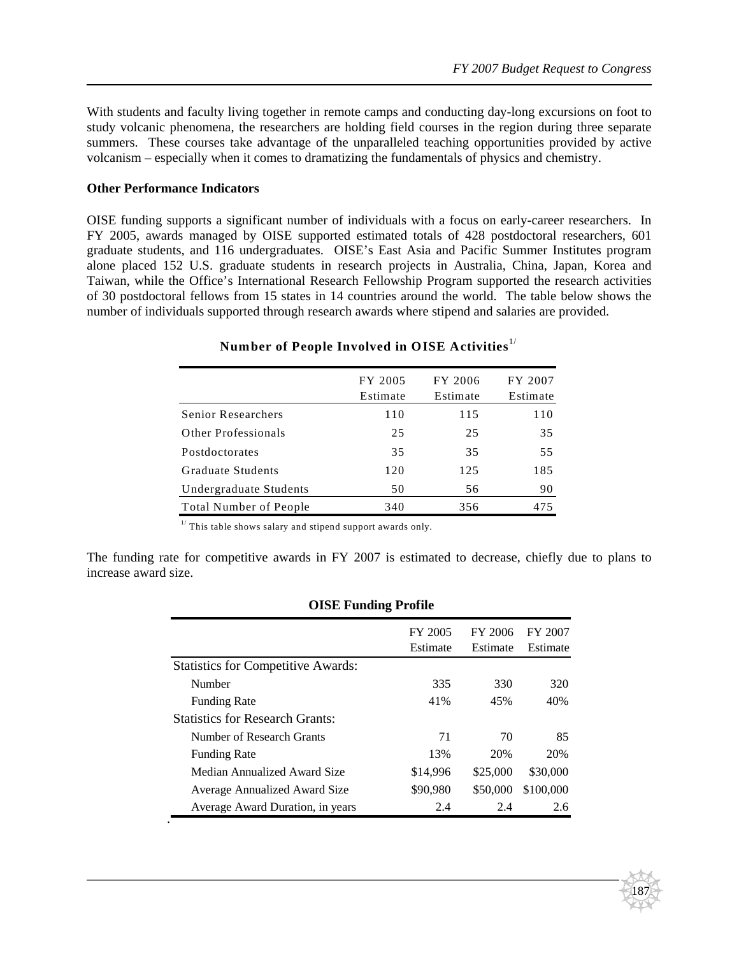187

With students and faculty living together in remote camps and conducting day-long excursions on foot to study volcanic phenomena, the researchers are holding field courses in the region during three separate summers. These courses take advantage of the unparalleled teaching opportunities provided by active volcanism – especially when it comes to dramatizing the fundamentals of physics and chemistry.

#### **Other Performance Indicators**

OISE funding supports a significant number of individuals with a focus on early-career researchers. In FY 2005, awards managed by OISE supported estimated totals of 428 postdoctoral researchers, 601 graduate students, and 116 undergraduates. OISE's East Asia and Pacific Summer Institutes program alone placed 152 U.S. graduate students in research projects in Australia, China, Japan, Korea and Taiwan, while the Office's International Research Fellowship Program supported the research activities of 30 postdoctoral fellows from 15 states in 14 countries around the world. The table below shows the number of individuals supported through research awards where stipend and salaries are provided.

| FY 2005<br>Estimate | FY 2006<br>Estimate | FY 2007<br>Estimate |
|---------------------|---------------------|---------------------|
| 110                 | 115                 | 110                 |
| 25                  | 25                  | 35                  |
| 35                  | 35                  | 55                  |
| 120                 | 125                 | 185                 |
| 50                  | 56                  | 90                  |
| 340                 | 356                 | 475                 |
|                     |                     |                     |

# **Number of People Involved in OISE Activities**1/

 $1/$  This table shows salary and stipend support awards only.

The funding rate for competitive awards in FY 2007 is estimated to decrease, chiefly due to plans to increase award size.

| <b>OISE Funding Profile</b> |                     |                     |  |  |  |
|-----------------------------|---------------------|---------------------|--|--|--|
| FY 2005<br>Estimate         | FY 2006<br>Estimate | FY 2007<br>Estimate |  |  |  |
|                             |                     |                     |  |  |  |
| 335                         | 330                 | 320                 |  |  |  |
| 41%                         | 45%                 | 40%                 |  |  |  |
|                             |                     |                     |  |  |  |
| 71                          | 70                  | 85                  |  |  |  |
| 13%                         | 20%                 | 20%                 |  |  |  |
| \$14,996                    | \$25,000            | \$30,000            |  |  |  |
| \$90,980                    | \$50,000            | \$100,000           |  |  |  |
| 2.4                         | 2.4                 | 2.6                 |  |  |  |
|                             |                     |                     |  |  |  |